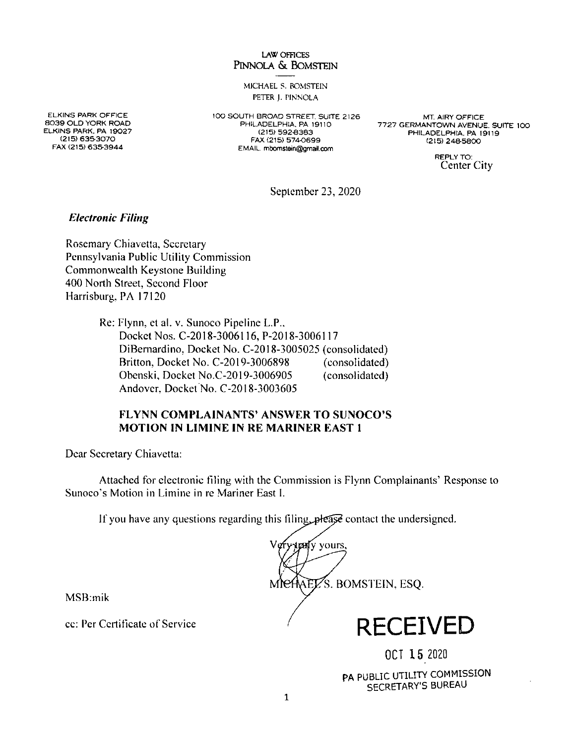#### LAW OFFICES **PINNOLA & BOMSTEIN**

MICHAEL S. BOMSTEIN PETER J. PINNOLA

**ELKINS PARK OFFICE 8039 OLD YORK ROAD ELKINS PARK. PA 19027 (215) 635-3070 FAX (215) 635-3944**

**lOO SOUTH BROAD STREET. SUITE 2126 PHILADELPHIA. PA 19110 (215) 592-8383 FAX (215) 5740699 EMAIL mbomstein@gmail.com**

**MT. AIRY OFFICE 7727 GERMANTOWN AVENUE. SUITE 1OO PHILADELPHIA. PA 19119 (215) 248-5800**

> **REPLY TO:** Center City

September 23, 2020

*Electronic Filing*

Rosemary Chiavetta, Secretary Pennsylvania Public Utility Commission Commonwealth Keystone Building 400 North Street, Second Floor Harrisburg, PA 17120

> (consolidated) (consolidated) Re: Flynn, et al. v. Sunoco Pipeline L.P.. Docket Nos. C-2018-3006116, P-2018-3006117 DiBemardino, Docket No. C-2018-3005025 (consolidated) Britton, Docket No. C-2019-3006898 Obenski, Docket No.C-2019-3006905 Andover, Docket No. C-2018-3003605

# **FLYNN COMPLAINANTS' ANSWER TO SUNOCO'S MOTION IN LIMINE IN RE MARINER EAST <sup>1</sup>**

Dear Secretary Chiavetta:

Attached for electronic filing with the Commission is Flynn Complainants' Response to Sunoco's Motion in Limine in re Mariner East I.

If you have any questions regarding this filing  $\mathcal{A}$  regards the undersigned.

ervitedy yours. AEL'S. BOMSTEIN, ESQ. MM

MSB:mik

cc: Per Certificate of Service **RECEIVED** 

**OCT 15 <sup>2020</sup>**

PA PUBLIC UTILITY COMMISSION SECRETARY'S BUREAU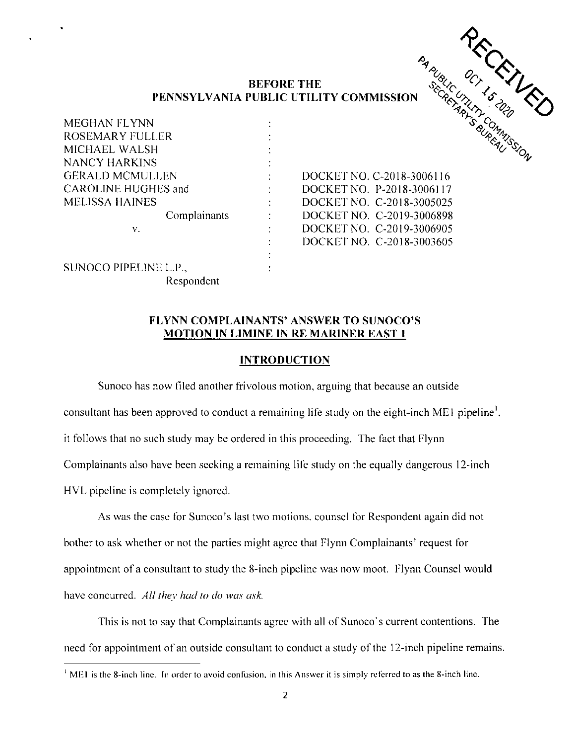# **BEFORE THE**

 $\ddot{\cdot}$ 

÷  $\ddot{\cdot}$ ÷  $\ddot{\cdot}$ 

**Complainants** v. MEGHAN FLYNN ROSEMARY FULLER MICHAEL WALSH NANCY HARKINS GERALD MCMULLEN CAROLINE HUGHES and MELISSA HAINES **PENNSYLVANIA PUBLIC UTILITY COMMISSION** 

DOCKET NO. C-2018-3006116 DOCKET NO. P-2018-3006117 DOCKET NO. C-2018-3005025 DOCKET NO. C-2019-3006898 DOCKET NO. C-2019-3006905 DOCKET NO. C-2018-3003605

SUNOCO PIPELINE L.P.. Respondent

### **FLYNN COMPLAINANTS' ANSWER TO SUNOCO'S MOTION IN LIMINE IN RE MARINER EAST <sup>1</sup>**

#### **INTRODUCTION**

Sunoco has now filed another frivolous motion, arguing that because an outside consultant has been approved to conduct a remaining life study on the eight-inch ME1 pipeline<sup>1</sup>. it follows that no such study may be ordered in this proceeding. The fact that Flynn Complainants also have been seeking a remaining life study on the equally dangerous 12-inch HVL pipeline is completely ignored.

As was the case for Sunoco's last two motions, counsel for Respondent again did not bother to ask whether or not the parties might agree that Flynn Complainants' request for appointment of a consultant to study the 8-inch pipeline was now moot. Flynn Counsel would have concurred. *All lhev had lo do was ask.*

This is not to say that Complainants agree with all of Sunoco's current contentions. The need for appointment of an outside consultant to conduct a study of the 12-inch pipeline remains.

<sup>&</sup>lt;sup>1</sup> ME1 is the 8-inch line. In order to avoid confusion, in this Answer it is simply referred to as the 8-inch line.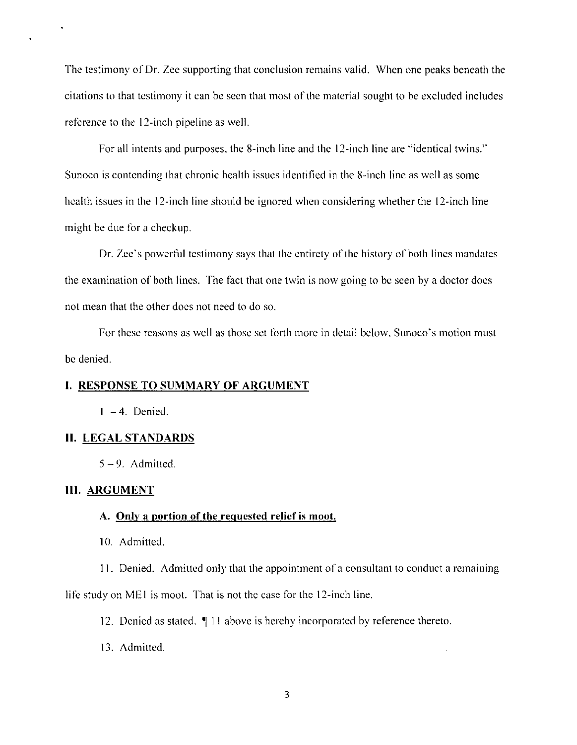The testimony of Dr. Zee supporting that conclusion remains valid. When one peaks beneath the citations to that testimony it can be seen that most of the material sought to be excluded includes reference to the 12-inch pipeline as well.

For all intents and purposes, the 8-inch line and the 12-inch line are ''identical twins." Sunoco is contending that chronic health issues identified in the 8-inch line as well as some health issues in the 12-inch line should be ignored when considering whether the 12-inch line might be due for a checkup.

Dr. Zee's powerful testimony says that the entirely of the history of both lines mandates the examination of both lines. The fact that one twin is now going to be seen by a doctor does not mean that the other does not need to do so.

For these reasons as well as those set forth more in detail below. Sunoco's motion must be denied.

#### **I. RESPONSE TO SUMMARY OF ARGUMENT**

 $1 - 4$ . Denied.

#### **11. LEGAL STANDARDS**

 $5-9$ . Admitted.

#### **III. ARGUMENT**

#### **A. Only a portion ofthe requested relief is moot.**

10. Admitted.

11. Denied. Admitted only that the appointment of a consultant to conduct a remaining

life study on MEI is moot. That is not the case for the 12-inch line.

12. Denied as stated.  $\P$  11 above is hereby incorporated by reference thereto.

13. Admitted.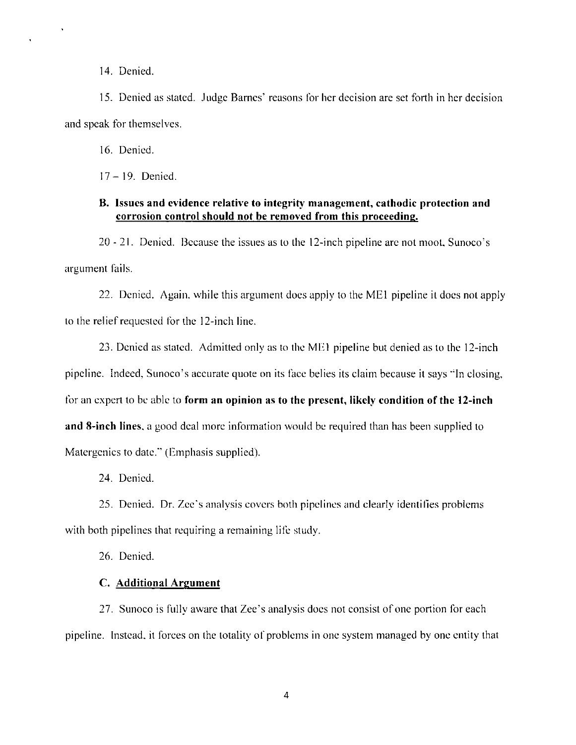14. Denied.

15. Denied as stated. Judge Barnes' reasons for her decision are set forth in her decision and speak for themselves.

16. Denied.

17- 19. Denied.

### **B. Issues and evidence relative to integrity' management, cathodic protection and corrosion control should not be removed from this proceeding.**

20-21. Denied. Because the issues as to the 12-inch pipeline are not moot. Sunoco'<sup>s</sup> argument fails.

22. Denied. Again, while this argument does apply to the MEI pipeline it does not apply to the relief requested for the 12-inch line.

23. Denied as stated. Admitted only as to the MEI pipeline but denied as to the 12-inch pipeline. Indeed. Sunoco's accurate quote on its face belies its claim because it says "In closing. for an expert to be able to **form an opinion as to the present, likely condition ofthe 12-inch and 8-inch lines,** a good deal more information would be required than has been supplied to Matergenics to date." (Emphasis supplied).

24. Denied.

25. Denied. Dr. Zee's analysis covers both pipelines and clearly identifies problems with both pipelines that requiring a remaining life study.

26. Denied.

#### **C. Additional Argument**

27. Sunoco is fully aware that Zee's analysis does not consist of one portion for each pipeline. Instead, it forces on the totality of problems in one system managed by one entity that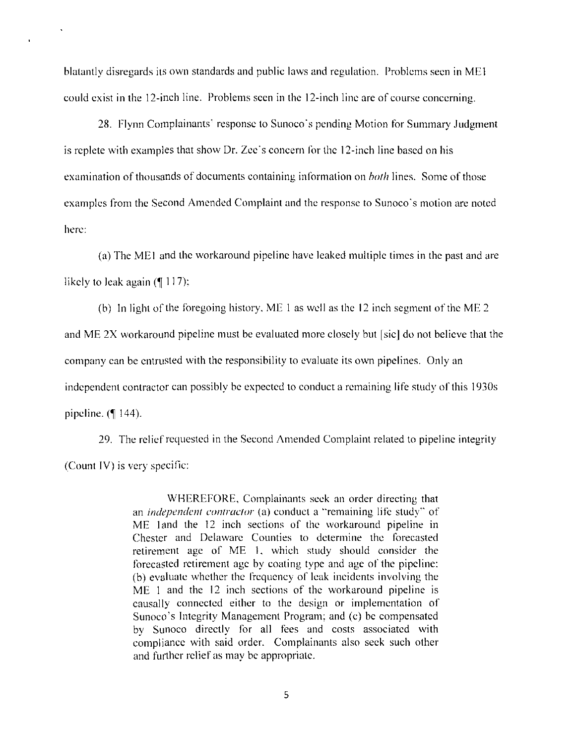blatantly disregards its own standards and public laws and regulation. Problems seen in MEI could exist in the 12-inch line. Problems seen in the 12-inch line are of course concerning.

28. Elynn Complainants' response to Sunoco's pending Motion for Summary Judgment is replete with examples that show Dr. Zee's concern for the 12-inch line based on his examination of thousands of documents containing information on *both* lines. Some of those examples from the Second Amended Complaint and the response to Sunoco's motion are noted here:

(a) The MEI and the workaround pipeline have leaked multiple times in the past and are likely to leak again  $(\sqrt{\frac{1}{1}} 17)$ :

(b) In light of the foregoing history, ME 1 as well as the 12 inch segment of the ME 2 and ME 2X workaround pipeline must be evaluated more closely but [sic] do not believe that the company can be entrusted with the responsibility to evaluate its own pipelines. Only an independent contractor can possibly be expected to conduct a remaining life study of this 1930s pipeline.  $($ || 144).

29. The relief requested in the Second Amended Complaint related to pipeline integrity (Count IV) is very specific:

> WHEREFORE, Complainants seek an order directing that an *independent contractor* (a) conduct a "remaining life study" of ME land the 12 inch sections of the workaround pipeline in Chester and Delaware Counties to determine the forecasted retirement age of ME 1. which study should consider the forecasted retirement age by coating type and age of the pipeline: (b) evaluate whether the frequency of leak incidents involving the ME <sup>1</sup> and the 12 inch sections of the workaround pipeline is causally connected either to the design or implementation of Sunoco's Integrity Management Program: and (c) be compensated by Sunoco directly for all fees and costs associated with compliance with said order. Complainants also seek such other and further relief as may be appropriate.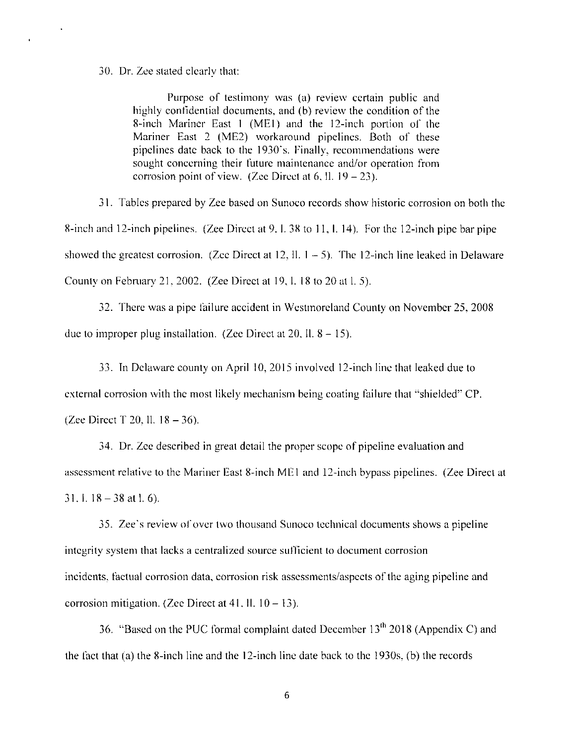30. Dr. Zee stated clearly that:

Purpose of testimony was (a) review certain public and highly confidential documents, and (b) review the condition of the 8-inch Mariner East <sup>1</sup> (MEI) and the 12-inch portion of the Mariner East 2 (ME2) workaround pipelines. Both of these pipelines date back to the 1930's. Finally, recommendations were sought concerning their future maintenance and/or operation from corrosion point of view. (Zee Direct at  $6$ , ll.  $19-23$ ).

31. Tables prepared by Zee based on Sunoco records show historic corrosion on both the 8-inch and 12-inch pipelines. (Zee Direct at 9.1. 38 to 11, 1.14). For the 12-inch pipe bar pipe showed the greatest corrosion. (Zee Direct at  $12$ ,  $11$ .  $1 - 5$ ). The 12-inch line leaked in Delaware County on February 21,2002. (Zee Direct at 19. 1. 18 to 20 at 1. 5).

32. There was a pipe failure accident in Westmoreland County on November 25. 2008 due to improper plug installation. (Zee Direct at 20, Il.  $8 - 15$ ).

33. In Delaware county on April 10, 2015 involved 12-inch line that leaked due to external corrosion with the most likely mechanism being coating failure that "shielded'' CP. (Zee Direct T 20, ll.  $18-36$ ).

34. Dr. Zee described in great detail the proper scope of pipeline evaluation and assessment relative to the Mariner East 8-inch MEI and 12-inch bypass pipelines. (Zee Direct at 31. I.  $18 - 38$  at 1. 6).

35. Zee's review of over two thousand Sunoco technical documents shows a pipeline integrity system that lacks a centralized source sufficient to document corrosion incidents, factual corrosion data, corrosion risk assessments/aspects of the aging pipeline and corrosion mitigation. (Zee Direct at  $41$ , II.  $10 - 13$ ).

36. "Based on the PUC formal complaint dated December  $13<sup>th</sup> 2018$  (Appendix C) and the fact that (a) the 8-inch line and the 12-inch line date back to the 1930s. (b) the records

**6**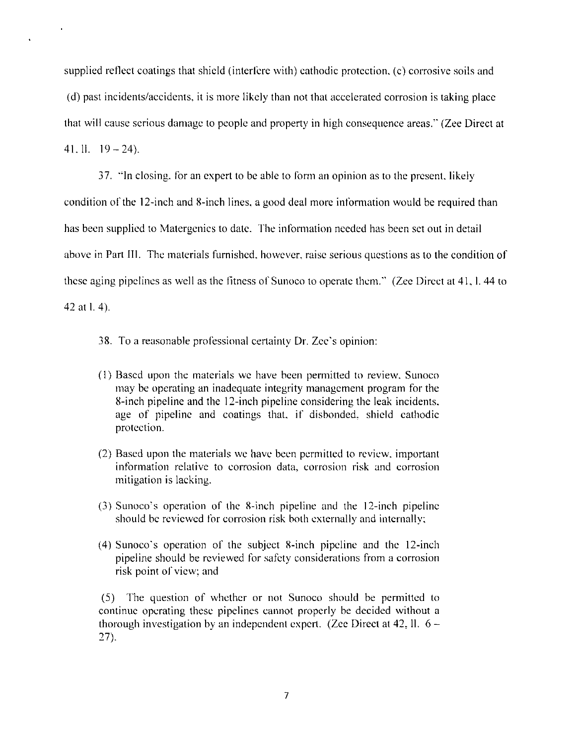supplied reflect coatings that shield (interfere with) cathodic protection, (c) corrosive soils and (d) past incidents/accidents. it is more likely than not that accelerated corrosion is taking place that will cause serious damage to people and property in high consequence areas.'\* (Zee Direct at 41.11. 19-24).

37. "In closing, for an expert to be able to form an opinion as to the present, likely condition of the 12-inch and 8-inch lines, a good deal more information would be required than has been supplied to Malergenics to date. The information needed has been set out in detail above in Part III. The materials furnished, however, raise serious questions as to the condition of these aging pipelines as well as the fitness of Sunoco to operate them." (Zee Direct at 41, 1.44 to 42 at 1. 4).

- 38. To a reasonable professional certainty Dr. Zee's opinion:
- (1) Based upon the materials we have been permitted to review. Sunoco may be operating an inadequate integrity management program for the 8-inch pipeline and the 12-inch pipeline considering the leak incidents, age of pipeline and coatings that, if disbonded, shield cathodic protection.
- (2) Based upon the materials we have been permitted to review, important information relative to corrosion data, corrosion risk and corrosion mitigation is lacking.
- (3) Sunoco's operation of the 8-inch pipeline and the 12-inch pipeline should be reviewed for corrosion risk both externally and internally:
- (4) Sunoco's operation of the subject 8-inch pipeline and the 12-inch pipeline should be reviewed for safely considerations from a corrosion risk point of view: and

(5) The question of whether or not Sunoco should be permitted to continue operating these pipelines cannot properly be decided without a thorough investigation by an independent expert. (Zee Direct at 42, Il.  $6 -$ 27).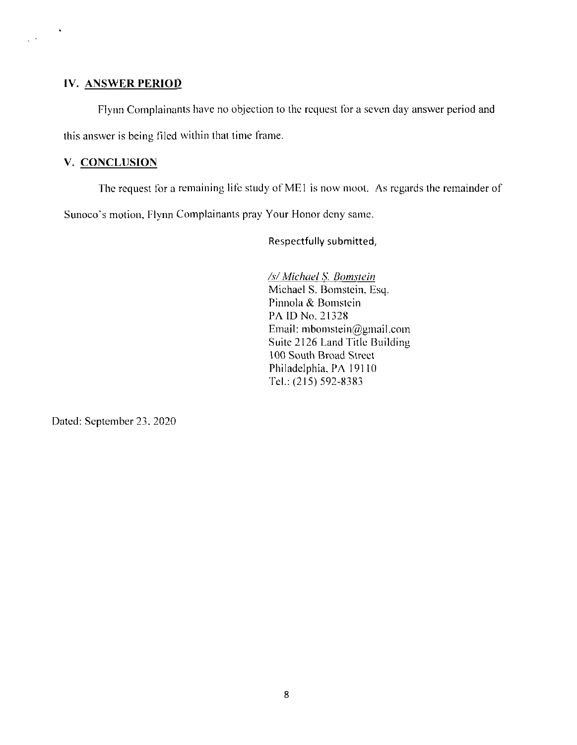#### **IV. ANSWER PERIOD**

 $\frac{1}{\sqrt{2\pi}}\int_{0}^{\frac{\pi}{2}}\frac{dx}{\sqrt{2\pi}}\,dx$ 

Flynn Complainants have no objection to the request for a seven day answer period and this answer is being filed within that time frame.

# **V. CONCLUSION**

The request for a remaining life study of MEI is now moot. As regards the remainder of

Sunoco's motion, Flynn Complainants pray Your Honor deny same.

Respectfully submitted,

Zs/ *Michael 8. Bomstein* Michael S. Bomstein, Esq. Pinnola & Bomstein PA ID No. 21328 Email: mbomstein@gmail.com Suite 2126 Land Title Building 100 South Broad Street Philadelphia, PA 19110 Tel.: (215) 592-8383

Dated: September 23. 2020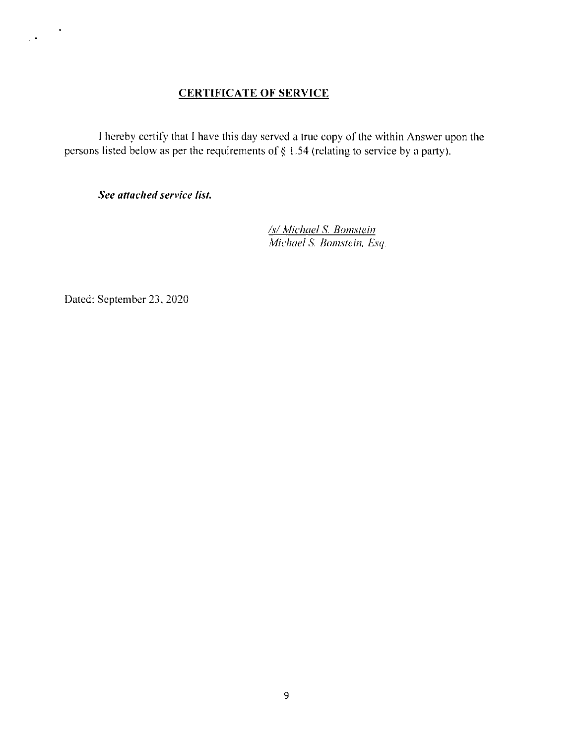# **CERTIFICATE OF SERVICE**

I hereby certify that I have this day served a true copy of the within Answer upon the persons listed below as per the requirements of § 1.54 (relating to service by a party).

*See attached service list.*

Zs/ *Michael S. Bonistem Michael S. Bomstein. Esq.*

Dated: September 23. 2020

 $\frac{1}{2} \sum_{i=1}^n \frac{1}{i!}$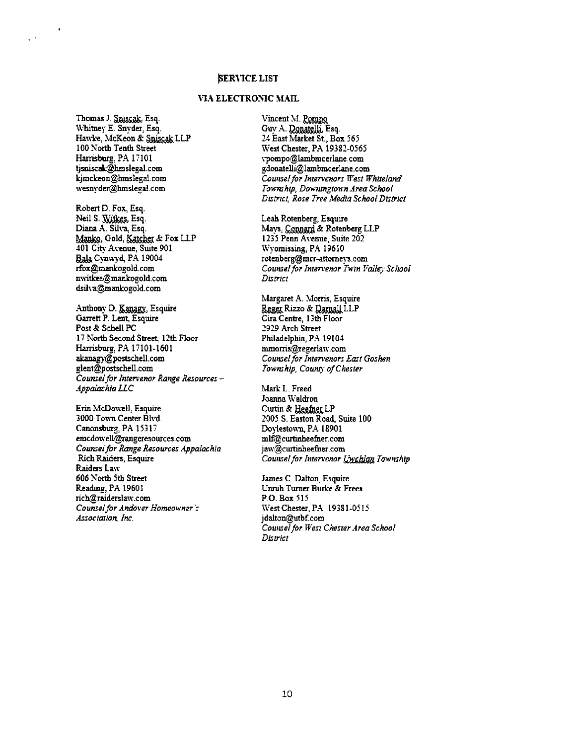#### **(SERMCE LIST**

#### **VIA ELECTRONIC MAIL**

**Thomas J. Sniscak, Esq. W'hitney E. Snyder. Esq. Hawke, McKeon & Sniscak LLP 100 North Tenth Street Harrisburg. PA 17101 tjsniscak@hmslegal.com kjmckeon@hmslegal.com wesnyder@hmsleeal.com**

 $\mathbb{R}^4$ 

**Robert D. Fox, Esq.** Neil S. Witkes, Esq. **Diana A. Silva, Esq. Masks- Gold, Mb® & Fox LLP 401 Citv Avenue, Suite 901 gaJfcCynwyd, PA 19004 rfox@mankogold.com nwitkes@mankogold.com dsih-a@mankogold.com**

Anthony D. **Kanagy**, Esquire **Garrett P. Lent, Esquire Post & Schell PC 17 North Second Street, 12th Floor Harrisburg, PA 17101-1601 akanagy-@postschell.com glent@postschell.com** *CounselforIntervenor Range Resources - AppalachiaLLC*

**Erin McDowell Esquire 3000 Town Center Blvd. Canonsburg, PA 15317 emcdmvell@rangeresources.com** *Counselfor Range Resources Appalachia* **Rich Raiders, Esquire Raiders Law 606 North 5th Street Reading, PA 19601 rich@raiderslaw.com** *Counselfor Andover Homeowner* **r** *Association, Inc.*

**Vincent M.** Guy A. Donatelli, Esq. **24 East Market St., Box 565 West Chester, PA 19382-0565 vpompo@lambmcerlane.com gdonatelli@lamlmicerlane.com** *CounselforIntervenors West Whiteland Township, DowningtownArea School District, Rose Tree Media SchoolDistrict*

**Leah Rotenberg. Esquire Mays, Connard** & Rotenberg LLP **1235 Penn Avenue, Suite 202 Wyomissing, PA 19610 rotenbergi@mcr-attomeys.com** *CounselforImervenor Twin Valley School District*

**Margaret A. Morris, Esquire gSgg^Rizzo & toaJlLLP Cira Centre, 13th Floor 2929 Arch Street Philadelphia, PA 19104 mmorris@regerlaw.com** *CounselforIntervenors East Goshen Township, County ofChester*

**Mark L. Freed Joanna Waldron Curtin & ggsfe&LP 2005 S. Easton Road, Suite 100 Doylestown, PA 18901 mlf@curtinheeftier.com** jaw@curtinheefner.com *CounselforIntervenor Township*

**James C. Dalton, Esquire Unruh Turner Burke & Frees P.O. Box 515 West Chester, PA 193S1-0515 jdalton@utbf.com** *Counselfor West ChesterArea School District*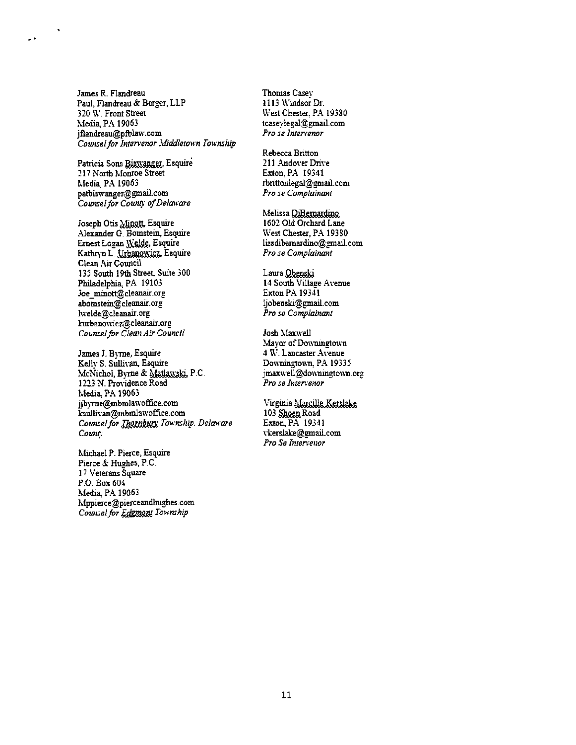**James R. Flandreau Paul, Flandreau & Berger. LLP 320 W. Front Street Media, PA 19063 jflandreau@pfblaw.com** *CounselforIntervenor Middletown Township*

**Patricia Sons Esquire 217 North Monroe Street Media, PA 19063 patbistvangen@gmail.com** *Counselfor County ofDelaware*

 $\overline{\phantom{a}}$ 

**Joseph Otis Esquire Alexander G. Bomstein, Esquire ErnestLogan Esquire Kathryn L. Esquire Clean Air Council 135 South 19th Street Suite 300 Philadelphia, PA 19103 Joe\_minott@cleanau.org abomstein@cleanair.org lwelde@cleanair.org ktirbanowicz@cleanair.org** *Coutiselfor Clgati Air Council*

**James J. Byrne, Esquire Kelly S. Sullivan, Esquire McNichol, Byrne & Mstasfe p c 1223 N. Providence Road Media, PA 19063 jjhyTne@mbmlawoffice.com VsnlHvan@mhTnlatvoffioe.com** *Cotoiselfor Township. Delaware County*

**Michael P. Pierce, Esquire Pierce & Hughes, P C. 17 Veterans Square P.O. Box 604 Media, PA 19063 Mppierce@pierceandhughes.com** *Counselfor g&B&M Township*

**Thomas Casey 1113 Windsor Dr. West Chester, PA 19380 tcaseylegal@gmail.com** *Pro se Intervenor*

**Rebecca Britton 211 Andover Drive Exton, PA 19341 rbrittonlegal@gmail.com** *Pro se Complainant*

**Melissa DiBeroaidinQ 1602 Old Orchard Lane West Chester, PA 19380 lissdibemardino@gmail.com** *Pro se Complainant*

**Laura 14 South Villaee Avenue Exton PA 19341 ljobenski@gmail.com** *Pro se Complainant*

**Josh Maxwell Mayor ofDowningtown 4 W. Lancaster Avenue Downingtown, PA 19335 jmaxwell@downingtown.ors** *Pro se Intervenor*

**Virginia** 103 Shoen Road **Exton, PA 19341 vker51ake@email.com** *Pro Se Intervenor*